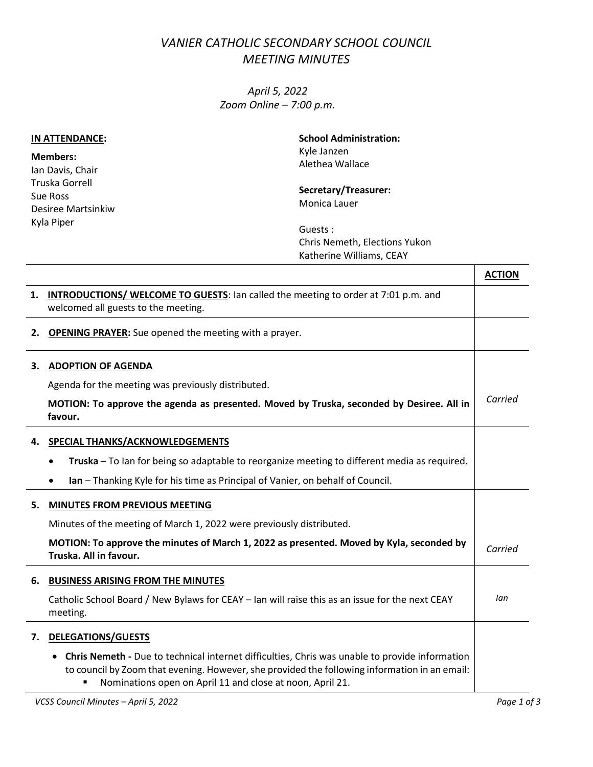## *VANIER CATHOLIC SECONDARY SCHOOL COUNCIL MEETING MINUTES*

*April 5, 2022 Zoom Online – 7:00 p.m.*

| IN ATTENDANCE:                                                                                        | <b>School Administration:</b><br>Kyle Janzen<br>Alethea Wallace       |  |
|-------------------------------------------------------------------------------------------------------|-----------------------------------------------------------------------|--|
| <b>Members:</b><br>Ian Davis, Chair<br>Truska Gorrell<br>Sue Ross<br>Desiree Martsinkiw<br>Kyla Piper |                                                                       |  |
|                                                                                                       | Secretary/Treasurer:<br>Monica Lauer                                  |  |
|                                                                                                       | Guests :<br>Chris Nemeth, Elections Yukon<br>Katherine Williams, CEAY |  |

|    |                                                                                                                                                                                                                                                                   | <b>ACTION</b> |
|----|-------------------------------------------------------------------------------------------------------------------------------------------------------------------------------------------------------------------------------------------------------------------|---------------|
| 1. | <b>INTRODUCTIONS/ WELCOME TO GUESTS:</b> lan called the meeting to order at 7:01 p.m. and                                                                                                                                                                         |               |
|    | welcomed all guests to the meeting.                                                                                                                                                                                                                               |               |
| 2. | <b>OPENING PRAYER:</b> Sue opened the meeting with a prayer.                                                                                                                                                                                                      |               |
| З. | <b>ADOPTION OF AGENDA</b>                                                                                                                                                                                                                                         |               |
|    | Agenda for the meeting was previously distributed.                                                                                                                                                                                                                |               |
|    | MOTION: To approve the agenda as presented. Moved by Truska, seconded by Desiree. All in<br>favour.                                                                                                                                                               | Carried       |
| 4. | SPECIAL THANKS/ACKNOWLEDGEMENTS                                                                                                                                                                                                                                   |               |
|    | Truska - To lan for being so adaptable to reorganize meeting to different media as required.                                                                                                                                                                      |               |
|    | Ian - Thanking Kyle for his time as Principal of Vanier, on behalf of Council.<br>٠                                                                                                                                                                               |               |
| 5. | <b>MINUTES FROM PREVIOUS MEETING</b>                                                                                                                                                                                                                              |               |
|    | Minutes of the meeting of March 1, 2022 were previously distributed.                                                                                                                                                                                              |               |
|    | MOTION: To approve the minutes of March 1, 2022 as presented. Moved by Kyla, seconded by<br>Truska. All in favour.                                                                                                                                                | Carried       |
| 6. | <b>BUSINESS ARISING FROM THE MINUTES</b>                                                                                                                                                                                                                          |               |
|    | Catholic School Board / New Bylaws for CEAY - Ian will raise this as an issue for the next CEAY<br>meeting.                                                                                                                                                       | lan           |
| 7. | <b>DELEGATIONS/GUESTS</b>                                                                                                                                                                                                                                         |               |
|    | Chris Nemeth - Due to technical internet difficulties, Chris was unable to provide information<br>to council by Zoom that evening. However, she provided the following information in an email:<br>Nominations open on April 11 and close at noon, April 21.<br>٠ |               |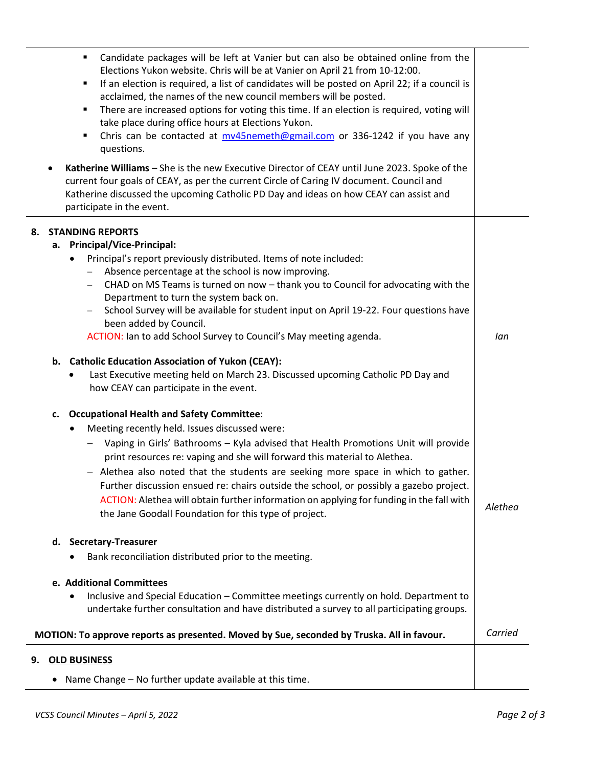|    | Candidate packages will be left at Vanier but can also be obtained online from the<br>$\blacksquare$<br>Elections Yukon website. Chris will be at Vanier on April 21 from 10-12:00.<br>If an election is required, a list of candidates will be posted on April 22; if a council is<br>٠<br>acclaimed, the names of the new council members will be posted.<br>There are increased options for voting this time. If an election is required, voting will<br>take place during office hours at Elections Yukon.<br>Chris can be contacted at mv45nemeth@gmail.com or 336-1242 if you have any<br>٠<br>questions. |         |
|----|-----------------------------------------------------------------------------------------------------------------------------------------------------------------------------------------------------------------------------------------------------------------------------------------------------------------------------------------------------------------------------------------------------------------------------------------------------------------------------------------------------------------------------------------------------------------------------------------------------------------|---------|
|    | Katherine Williams - She is the new Executive Director of CEAY until June 2023. Spoke of the<br>current four goals of CEAY, as per the current Circle of Caring IV document. Council and<br>Katherine discussed the upcoming Catholic PD Day and ideas on how CEAY can assist and<br>participate in the event.                                                                                                                                                                                                                                                                                                  |         |
|    | 8. STANDING REPORTS                                                                                                                                                                                                                                                                                                                                                                                                                                                                                                                                                                                             |         |
|    | a. Principal/Vice-Principal:                                                                                                                                                                                                                                                                                                                                                                                                                                                                                                                                                                                    |         |
|    | Principal's report previously distributed. Items of note included:<br>٠                                                                                                                                                                                                                                                                                                                                                                                                                                                                                                                                         |         |
|    | Absence percentage at the school is now improving.                                                                                                                                                                                                                                                                                                                                                                                                                                                                                                                                                              |         |
|    | CHAD on MS Teams is turned on now - thank you to Council for advocating with the<br>Department to turn the system back on.                                                                                                                                                                                                                                                                                                                                                                                                                                                                                      |         |
|    | School Survey will be available for student input on April 19-22. Four questions have<br>$ \,$<br>been added by Council.                                                                                                                                                                                                                                                                                                                                                                                                                                                                                        |         |
|    | ACTION: Ian to add School Survey to Council's May meeting agenda.                                                                                                                                                                                                                                                                                                                                                                                                                                                                                                                                               | lan     |
|    | b. Catholic Education Association of Yukon (CEAY):<br>Last Executive meeting held on March 23. Discussed upcoming Catholic PD Day and<br>how CEAY can participate in the event.                                                                                                                                                                                                                                                                                                                                                                                                                                 |         |
|    | <b>Occupational Health and Safety Committee:</b><br>c.                                                                                                                                                                                                                                                                                                                                                                                                                                                                                                                                                          |         |
|    | Meeting recently held. Issues discussed were:<br>$\bullet$                                                                                                                                                                                                                                                                                                                                                                                                                                                                                                                                                      |         |
|    | Vaping in Girls' Bathrooms - Kyla advised that Health Promotions Unit will provide<br>print resources re: vaping and she will forward this material to Alethea.                                                                                                                                                                                                                                                                                                                                                                                                                                                 |         |
|    | - Alethea also noted that the students are seeking more space in which to gather.<br>Further discussion ensued re: chairs outside the school, or possibly a gazebo project.<br>ACTION: Alethea will obtain further information on applying for funding in the fall with<br>the Jane Goodall Foundation for this type of project.                                                                                                                                                                                                                                                                                | Alethea |
|    | d. Secretary-Treasurer                                                                                                                                                                                                                                                                                                                                                                                                                                                                                                                                                                                          |         |
|    | Bank reconciliation distributed prior to the meeting.                                                                                                                                                                                                                                                                                                                                                                                                                                                                                                                                                           |         |
|    |                                                                                                                                                                                                                                                                                                                                                                                                                                                                                                                                                                                                                 |         |
|    | e. Additional Committees                                                                                                                                                                                                                                                                                                                                                                                                                                                                                                                                                                                        |         |
|    | Inclusive and Special Education - Committee meetings currently on hold. Department to<br>undertake further consultation and have distributed a survey to all participating groups.                                                                                                                                                                                                                                                                                                                                                                                                                              |         |
|    | MOTION: To approve reports as presented. Moved by Sue, seconded by Truska. All in favour.                                                                                                                                                                                                                                                                                                                                                                                                                                                                                                                       | Carried |
| 9. | <b>OLD BUSINESS</b>                                                                                                                                                                                                                                                                                                                                                                                                                                                                                                                                                                                             |         |
|    |                                                                                                                                                                                                                                                                                                                                                                                                                                                                                                                                                                                                                 |         |
|    | Name Change - No further update available at this time.                                                                                                                                                                                                                                                                                                                                                                                                                                                                                                                                                         |         |